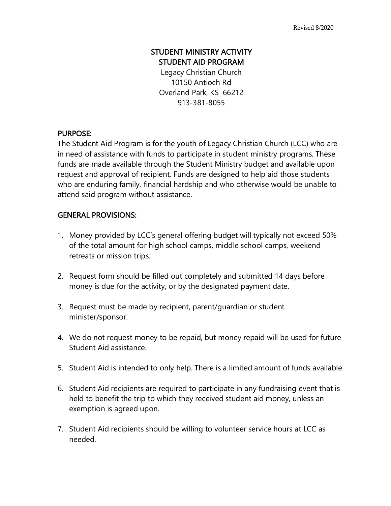## STUDENT MINISTRY ACTIVITY STUDENT AID PROGRAM

Legacy Christian Church 10150 Antioch Rd Overland Park, KS 66212 913-381-8055

## PURPOSE:

The Student Aid Program is for the youth of Legacy Christian Church (LCC) who are in need of assistance with funds to participate in student ministry programs. These funds are made available through the Student Ministry budget and available upon request and approval of recipient. Funds are designed to help aid those students who are enduring family, financial hardship and who otherwise would be unable to attend said program without assistance.

## GENERAL PROVISIONS:

- 1. Money provided by LCC's general offering budget will typically not exceed 50% of the total amount for high school camps, middle school camps, weekend retreats or mission trips.
- 2. Request form should be filled out completely and submitted 14 days before money is due for the activity, or by the designated payment date.
- 3. Request must be made by recipient, parent/guardian or student minister/sponsor.
- 4. We do not request money to be repaid, but money repaid will be used for future Student Aid assistance.
- 5. Student Aid is intended to only help. There is a limited amount of funds available.
- 6. Student Aid recipients are required to participate in any fundraising event that is held to benefit the trip to which they received student aid money, unless an exemption is agreed upon.
- 7. Student Aid recipients should be willing to volunteer service hours at LCC as needed.